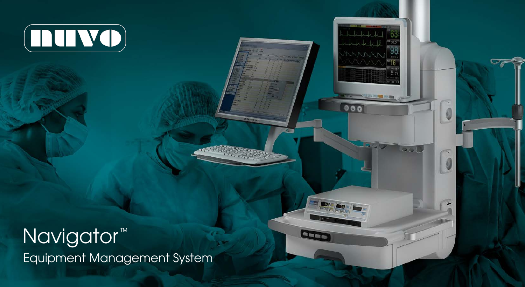

# Navigator<sup>™</sup> Equipment Management System

 $000$ 

B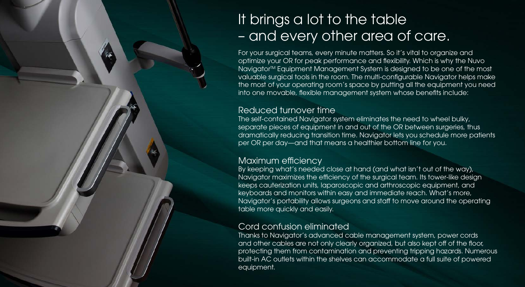### It brings a lot to the table – and every other area of care.

For your surgical teams, every minute matters. So it's vital to organize and optimize your OR for peak performance and flexibility. Which is why the Nuvo Navigator<sup>™</sup> Equipment Management System is designed to be one of the most valuable surgical tools in the room. The multi-configurable Navigator helps make the most of your operating room's space by putting all the equipment you need into one movable, flexible management system whose benefits include:

#### Reduced turnover time

The self-contained Navigator system eliminates the need to wheel bulky, separate pieces of equipment in and out of the OR between surgeries, thus dramatically reducing transition time. Navigator lets you schedule more patients per OR per day—and that means a healthier bottom line for you.

#### Maximum efficiency

By keeping what's needed close at hand (and what isn't out of the way), Navigator maximizes the efficiency of the surgical team. Its tower-like design keeps cauterization units, laparoscopic and arthroscopic equipment, and keyboards and monitors within easy and immediate reach. What's more, Navigator's portability allows surgeons and staff to move around the operating table more quickly and easily.

#### Cord confusion eliminated

Thanks to Navigator's advanced cable management system, power cords and other cables are not only clearly organized, but also kept off of the floor, protecting them from contamination and preventing tripping hazards. Numerous built-in AC outlets within the shelves can accommodate a full suite of powered equipment.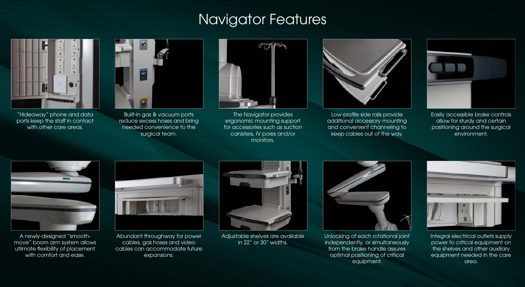## Getting a better handle on things. A better handle on things a better handle on things. A better  $\sim$



"Hideaway" phone and data ports keep the staff in contact with other care areas.



Built-in gas & vacuum ports reduce excess hoses and bring needed convenience to the surgical team.



The Navigator provides ergonomic mounting support for accessories such as suction canisters, IV poles and/or monitors.



Low-profile side rails provide additional accessory mounting and convenient channeling to keep cables out of the way.



Easily accessible brake controls allow for sturdy and certain positioning around the surgical environment.



A newly-designed "smoothmove" boom arm system allows utlimate flexibility of placement with comfort and ease.



Abundant throughway for power cables, gas hoses and video cables can accommodate future expansions.



Adjustable shelves are available in 22" or 30" widths.



Unlocking of each rotational joint independently, or simultaneously from the brake handle assures optimal positioning of critical equipment.



Integral electrical outlets supply power to critical equipment on the shelves and other auxiliary equipment needed in the care area.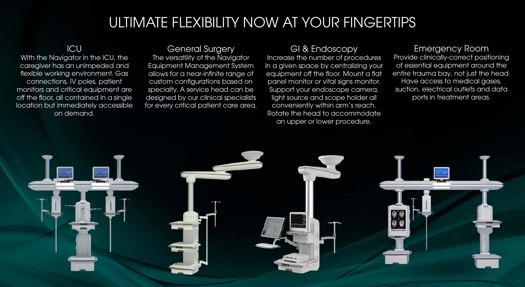### ULTIMATE FLEXIBILITY NOW AT YOUR FINGERTIPS

#### ICU

WIth the Navigator in the ICU, the caregiver has an unimpeded and flexible working environment. Gas connections, IV poles, patient monitors and critical equipment are off the floor, all contained in a single location but immediately accessible on demand.

#### General Surgery

The versatility of the Navigator Equipment Management System allows for a near-infinite range of custom configurations based on specialty. A service head can be designed by our clinical specialists for every critical patient care area.

#### GI & Endoscopy

Increase the number of procedures in a given space by centralizing your equipment off the floor. Mount a flat panel monitor or vital signs monitor. Support your endoscope camera, light source and scope holder all conveniently within arm's reach. Rotate the head to accommodate an upper or lower procedure.

#### Emergency Room

Provide clinically-correct positioning of essential equipment around the entire trauma bay, not just the head. Have access to medical gases, suction, electrical outlets and data ports in treatment areas.

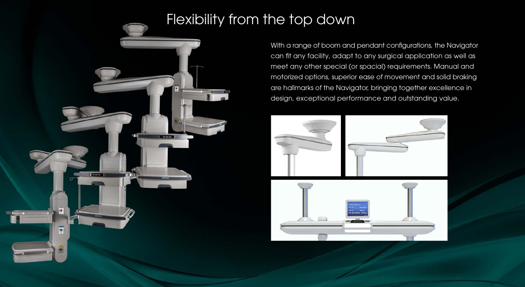## Flexibility from the top down



With a range of boom and pendant configurations, the Navigator can fit any facility, adapt to any surgical application as well as meet any other special (or spacial) requirements. Manual and motorized options, superior ease of movement and solid braking are hallmarks of the Navigator, bringing together excellence in design, exceptional performance and outstanding value.